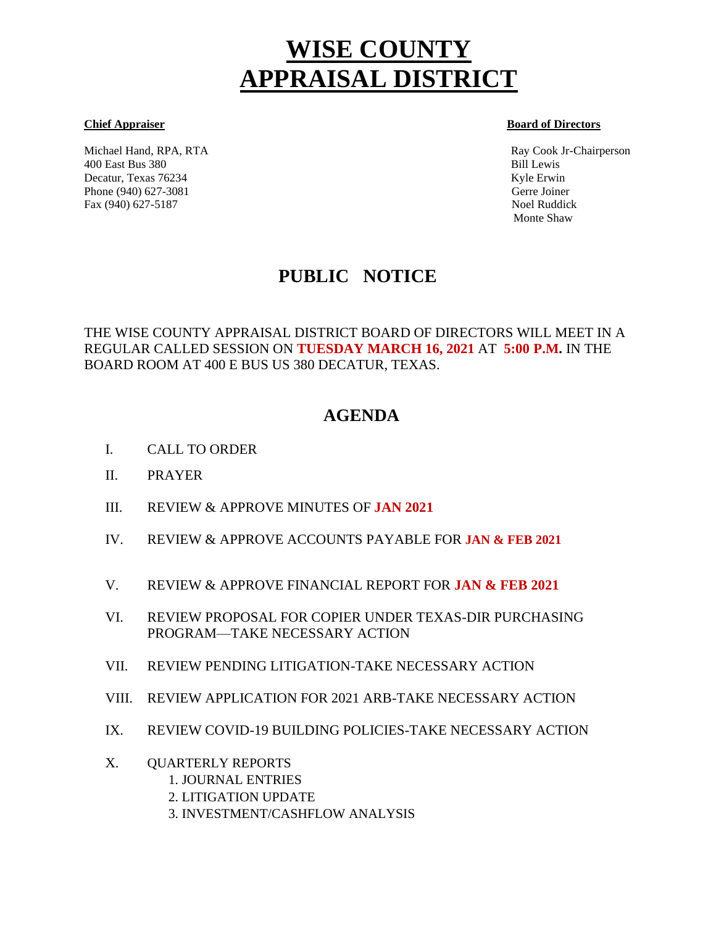# **WISE COUNTY APPRAISAL DISTRICT**

Michael Hand, RPA, RTA Ray Cook Jr-Chairperson 400 East Bus 380 Bill Lewis Decatur, Texas 76234 Kyle Erwin Kyle Erwin Kyle Erwin Kyle Erwin Kyle Erwin Kyle Erwin Kyle Erwin Kyle Erwin Kyle Erwin Kyle Erwin Kyle Erwin Kyle Erwin Kyle Erwin Kyle Erwin Kyle Erwin Kyle Erwin Kyle Erwin Kyle Erwin Kyl Phone (940) 627-3081 Gerre Joiner Fax (940) 627-5187 Noel Ruddick

#### **Chief Appraiser Board of Directors**

Monte Shaw

## **PUBLIC NOTICE**

THE WISE COUNTY APPRAISAL DISTRICT BOARD OF DIRECTORS WILL MEET IN A REGULAR CALLED SESSION ON **TUESDAY MARCH 16, 2021** AT **5:00 P.M.** IN THE BOARD ROOM AT 400 E BUS US 380 DECATUR, TEXAS.

### **AGENDA**

- I. CALL TO ORDER Ĩ
- II. PRAYER
- III. REVIEW & APPROVE MINUTES OF **JAN 2021**
- IV. REVIEW & APPROVE ACCOUNTS PAYABLE FOR **JAN & FEB 2021**
- V. REVIEW & APPROVE FINANCIAL REPORT FOR **JAN & FEB 2021**
- VI. REVIEW PROPOSAL FOR COPIER UNDER TEXAS-DIR PURCHASING PROGRAM—TAKE NECESSARY ACTION
- VII. REVIEW PENDING LITIGATION-TAKE NECESSARY ACTION
- VIII. REVIEW APPLICATION FOR 2021 ARB-TAKE NECESSARY ACTION
- IX. REVIEW COVID-19 BUILDING POLICIES-TAKE NECESSARY ACTION
- X. QUARTERLY REPORTS
	- 1. JOURNAL ENTRIES
	- 2. LITIGATION UPDATE
	- 3. INVESTMENT/CASHFLOW ANALYSIS